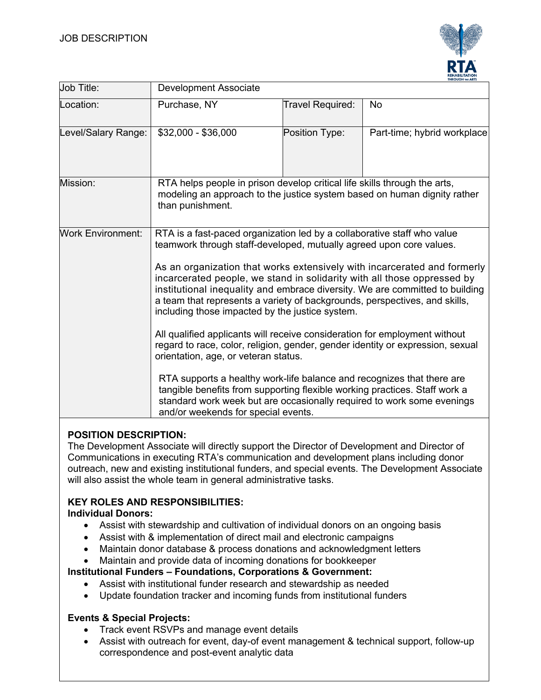

| <b>Job Title:</b>        | <b>THROUGH THE ARTS</b><br><b>Development Associate</b>                                                                                                                                                                                                                                                                                                                                                                                                                                                                                                                                                                                                                                                                                                                                                                                                                                                                                                                                                 |                  |                             |
|--------------------------|---------------------------------------------------------------------------------------------------------------------------------------------------------------------------------------------------------------------------------------------------------------------------------------------------------------------------------------------------------------------------------------------------------------------------------------------------------------------------------------------------------------------------------------------------------------------------------------------------------------------------------------------------------------------------------------------------------------------------------------------------------------------------------------------------------------------------------------------------------------------------------------------------------------------------------------------------------------------------------------------------------|------------------|-----------------------------|
| Location:                | Purchase, NY                                                                                                                                                                                                                                                                                                                                                                                                                                                                                                                                                                                                                                                                                                                                                                                                                                                                                                                                                                                            | Travel Required: | <b>No</b>                   |
| Level/Salary Range:      | \$32,000 - \$36,000                                                                                                                                                                                                                                                                                                                                                                                                                                                                                                                                                                                                                                                                                                                                                                                                                                                                                                                                                                                     | Position Type:   | Part-time; hybrid workplace |
| Mission:                 | RTA helps people in prison develop critical life skills through the arts,<br>modeling an approach to the justice system based on human dignity rather<br>than punishment.                                                                                                                                                                                                                                                                                                                                                                                                                                                                                                                                                                                                                                                                                                                                                                                                                               |                  |                             |
| <b>Work Environment:</b> | RTA is a fast-paced organization led by a collaborative staff who value<br>teamwork through staff-developed, mutually agreed upon core values.<br>As an organization that works extensively with incarcerated and formerly<br>incarcerated people, we stand in solidarity with all those oppressed by<br>institutional inequality and embrace diversity. We are committed to building<br>a team that represents a variety of backgrounds, perspectives, and skills,<br>including those impacted by the justice system.<br>All qualified applicants will receive consideration for employment without<br>regard to race, color, religion, gender, gender identity or expression, sexual<br>orientation, age, or veteran status.<br>RTA supports a healthy work-life balance and recognizes that there are<br>tangible benefits from supporting flexible working practices. Staff work a<br>standard work week but are occasionally required to work some evenings<br>and/or weekends for special events. |                  |                             |

# **POSITION DESCRIPTION:**

The Development Associate will directly support the Director of Development and Director of Communications in executing RTA's communication and development plans including donor outreach, new and existing institutional funders, and special events. The Development Associate will also assist the whole team in general administrative tasks.

# **KEY ROLES AND RESPONSIBILITIES:**

### **Individual Donors:**

- Assist with stewardship and cultivation of individual donors on an ongoing basis
- Assist with & implementation of direct mail and electronic campaigns
- Maintain donor database & process donations and acknowledgment letters
- Maintain and provide data of incoming donations for bookkeeper

#### **Institutional Funders – Foundations, Corporations & Government:**

- Assist with institutional funder research and stewardship as needed
- Update foundation tracker and incoming funds from institutional funders

#### **Events & Special Projects:**

- Track event RSVPs and manage event details
- Assist with outreach for event, day-of event management & technical support, follow-up correspondence and post-event analytic data